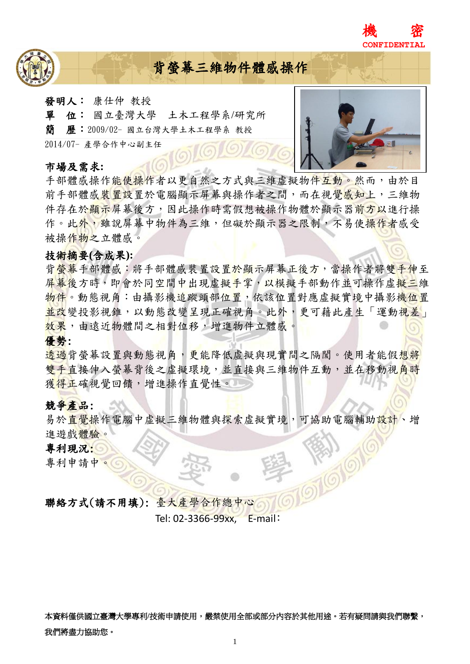



# 背螢幕三維物件體感操作

- 發明人: 康仕仲 教授
- 單位: 國立臺灣大學 土木工程學系/研究所
- 簡歷:2009/02- 國立台灣大學土木工程學系 教授

2014/07- 產學合作中心副主任

#### 市場及需求**:**



手部體感操作能使操作者以更自然之方式與三維虛擬物件互動。然而,由於目 前手部體感裝置設置於電腦顯示屏幕與操作者之間,而在視覺感知上,三維物 件存在於顯示屏幕後方,因此操作時需假想被操作物體於顯示器前方以進行操 作。此外,雖說屏幕中物件為三維,但礙於顯示器之限制,不易使操作者感受 被操作物之立體感。

## 技術摘要**(**含成果**):**

背螢幕手部體感:將手部體感裝置設置於顯示屏幕正後方,當操作者將雙手伸至 屏幕後方時,即會於同空間中出現虛擬手掌,以模擬手部動作並可操作虛擬三維 物件。動態視角:由攝影機追蹤頭部位置,依該位置對應虛擬實境中攝影機位置 並改變投影視錐,以動態改變呈現正確視角。此外,更可藉此產生「運動視差」 效果,由遠近物體間之相對位移,增進物件立體感。

## 優勢:

透過背螢幕設置與動態視角,更能降低虛擬與現實間之隔閡。使用者能假想將 雙手直接伸入螢幕背後之虛擬環境,並直接與三維物件互動,並在移動視角時 獲得正確視覺回饋,增進操作直覺性。

## 競爭產品:

易於直覺操作電腦中虛擬三維物體與探索虛擬實境,可協助電腦輔助設計、增 進遊戲體驗。

## 專利現況:

專利申請中。

聯絡方式(請不用填): 臺大產學合作總中心

Tel: 02-3366-99xx, E-mail:

本資料僅供國立臺灣大學專利/技術申請使用,嚴禁使用全部或部分內容於其他用途。若有疑問請與我們聯繫, 我們將盡力協助您。